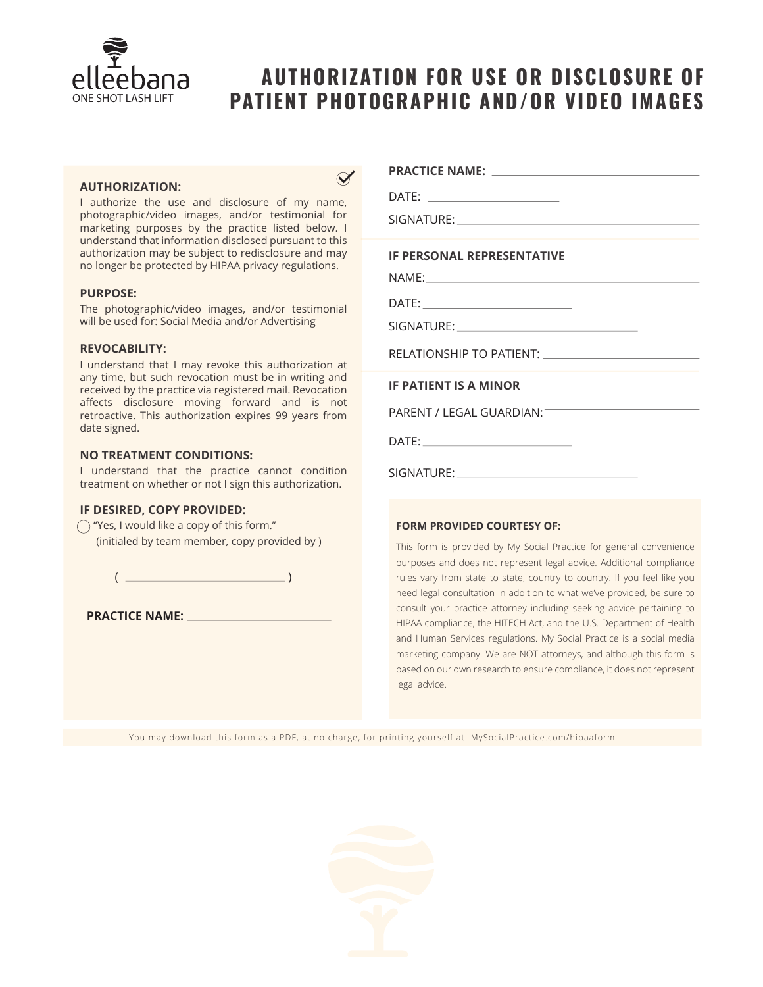

# **AUTHORIZATION FOR USE OR DISCLOSURE OF PATIENT PHOTOGRAPHIC AND/OR VIDEO IMAGES**

#### **AUTHORIZATION:**

I authorize the use and disclosure of my name, photographic/video images, and/or testimonial for marketing purposes by the practice listed below. I understand that information disclosed pursuant to this authorization may be subject to redisclosure and may no longer be protected by HIPAA privacy regulations.

#### **PURPOSE:**

The photographic/video images, and/or testimonial will be used for: Social Media and/or Advertising

#### **REVOCABILITY:**

I understand that I may revoke this authorization at any time, but such revocation must be in writing and received by the practice via registered mail. Revocation affects disclosure moving forward and is not retroactive. This authorization expires 99 years from date signed.

#### **NO TREATMENT CONDITIONS:**

I understand that the practice cannot condition treatment on whether or not I sign this authorization.

#### **IF DESIRED, COPY PROVIDED:**

 $\bigcap$  "Yes, I would like a copy of this form." (initialed by team member, copy provided by )

 $($   $)$ 

**PRACTICE NAME:**

### **PRACTICE NAME:**

DATE:

SIGNATURE:

#### **IF PERSONAL REPRESENTATIVE**

NAME:

DATE:

SIGNATURE:

RELATIONSHIP TO PATIENT:

**IF PATIENT IS A MINOR**

PARENT / LEGAL GUARDIAN:

DATE:

SIGNATURE:

#### **FORM PROVIDED COURTESY OF:**

This form is provided by My Social Practice for general convenience purposes and does not represent legal advice. Additional compliance rules vary from state to state, country to country. If you feel like you need legal consultation in addition to what we've provided, be sure to consult your practice attorney including seeking advice pertaining to HIPAA compliance, the HITECH Act, and the U.S. Department of Health and Human Services regulations. My Social Practice is a social media marketing company. We are NOT attorneys, and although this form is based on our own research to ensure compliance, it does not represent legal advice.

You may download this form as a PDF, at no charge, for printing yourself at: MySocialPractice.com/hipaaform